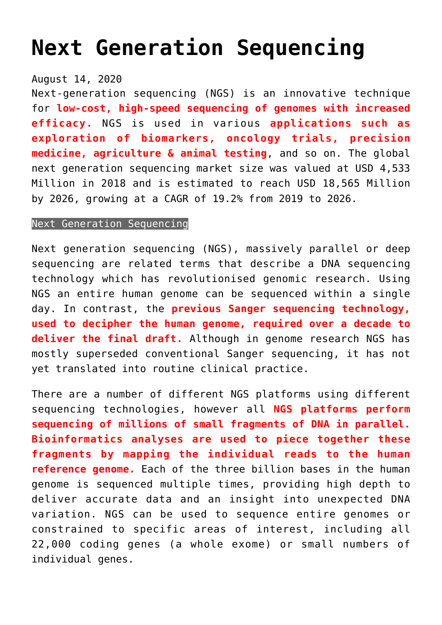## **[Next Generation Sequencing](https://journalsofindia.com/next-generation-sequencing/)**

## August 14, 2020

Next-generation sequencing (NGS) is an innovative technique for **low-cost, high-speed sequencing of genomes with increased efficacy.** NGS is used in various **applications such as exploration of biomarkers, oncology trials, precision medicine, agriculture & animal testing**, and so on. The global next generation sequencing market size was valued at USD 4,533 Million in 2018 and is estimated to reach USD 18,565 Million by 2026, growing at a CAGR of 19.2% from 2019 to 2026.

## Next Generation Sequencing

Next generation sequencing (NGS), massively parallel or deep sequencing are related terms that describe a DNA sequencing technology which has revolutionised genomic research. Using NGS an entire human genome can be sequenced within a single day. In contrast, the **previous Sanger sequencing technology, used to decipher the human genome, required over a decade to deliver the final draft.** Although in genome research NGS has mostly superseded conventional Sanger sequencing, it has not yet translated into routine clinical practice.

There are a number of different NGS platforms using different sequencing technologies, however all **NGS platforms perform sequencing of millions of small fragments of DNA in parallel. Bioinformatics analyses are used to piece together these fragments by mapping the individual reads to the human reference genome.** Each of the three billion bases in the human genome is sequenced multiple times, providing high depth to deliver accurate data and an insight into unexpected DNA variation. NGS can be used to sequence entire genomes or constrained to specific areas of interest, including all 22,000 coding genes (a whole exome) or small numbers of individual genes.